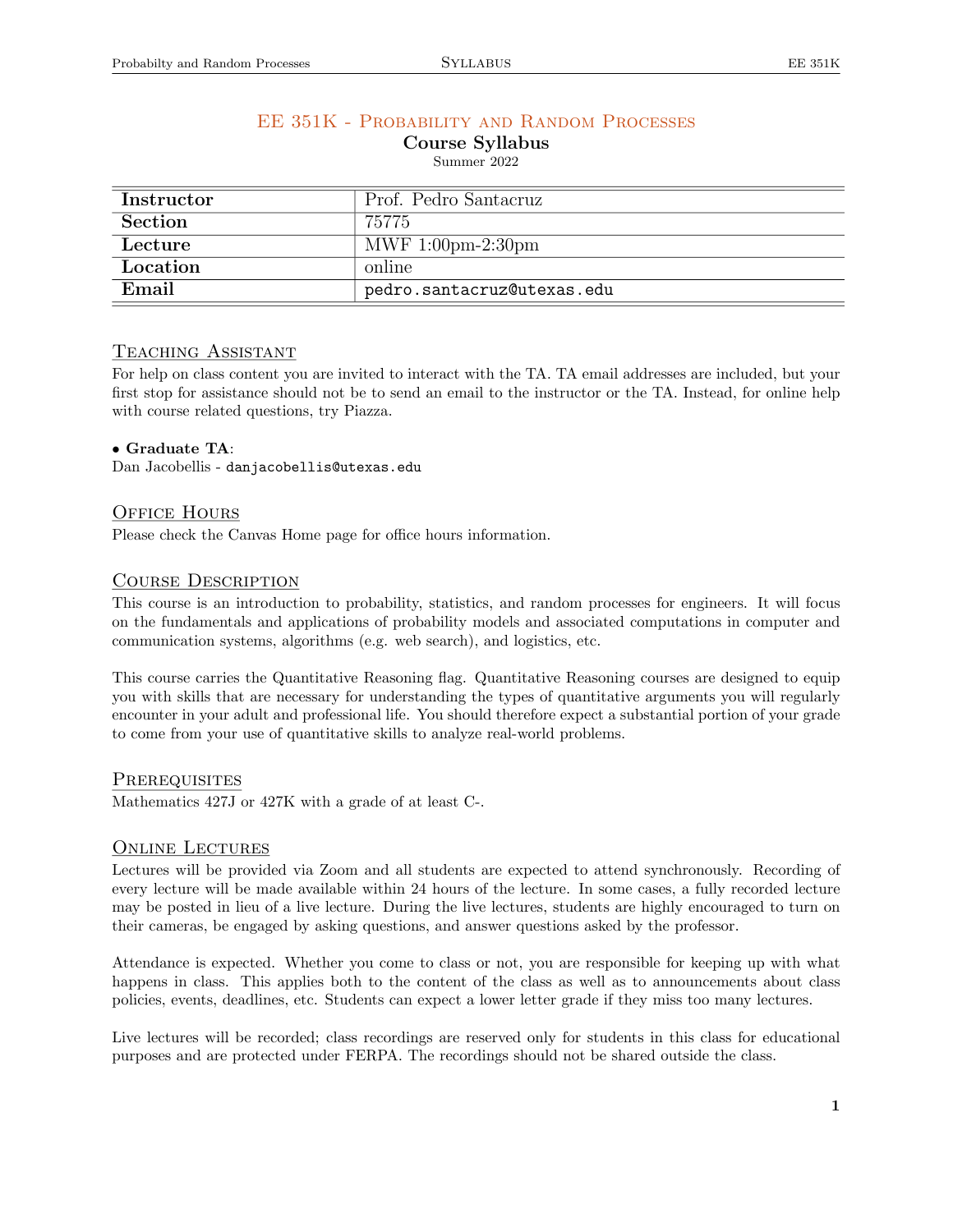# EE 351K - Probability and Random Processes

Course Syllabus

Summer 2022

| Instructor | Prof. Pedro Santacruz               |  |  |  |  |
|------------|-------------------------------------|--|--|--|--|
| Section    | 75775                               |  |  |  |  |
| Lecture    | MWF $1:00 \text{pm-}2:30 \text{pm}$ |  |  |  |  |
| Location   | online                              |  |  |  |  |
| Email      | pedro.santacruz@utexas.edu          |  |  |  |  |

# TEACHING ASSISTANT

For help on class content you are invited to interact with the TA. TA email addresses are included, but your first stop for assistance should not be to send an email to the instructor or the TA. Instead, for online help with course related questions, try Piazza.

### *•* Graduate TA:

Dan Jacobellis - danjacobellis@utexas.edu

# OFFICE HOURS

Please check the Canvas Home page for office hours information.

# COURSE DESCRIPTION

This course is an introduction to probability, statistics, and random processes for engineers. It will focus on the fundamentals and applications of probability models and associated computations in computer and communication systems, algorithms (e.g. web search), and logistics, etc.

This course carries the Quantitative Reasoning flag. Quantitative Reasoning courses are designed to equip you with skills that are necessary for understanding the types of quantitative arguments you will regularly encounter in your adult and professional life. You should therefore expect a substantial portion of your grade to come from your use of quantitative skills to analyze real-world problems.

#### **PREREQUISITES**

Mathematics 427J or 427K with a grade of at least C-.

# ONLINE LECTURES

Lectures will be provided via Zoom and all students are expected to attend synchronously. Recording of every lecture will be made available within 24 hours of the lecture. In some cases, a fully recorded lecture may be posted in lieu of a live lecture. During the live lectures, students are highly encouraged to turn on their cameras, be engaged by asking questions, and answer questions asked by the professor.

Attendance is expected. Whether you come to class or not, you are responsible for keeping up with what happens in class. This applies both to the content of the class as well as to announcements about class policies, events, deadlines, etc. Students can expect a lower letter grade if they miss too many lectures.

Live lectures will be recorded; class recordings are reserved only for students in this class for educational purposes and are protected under FERPA. The recordings should not be shared outside the class.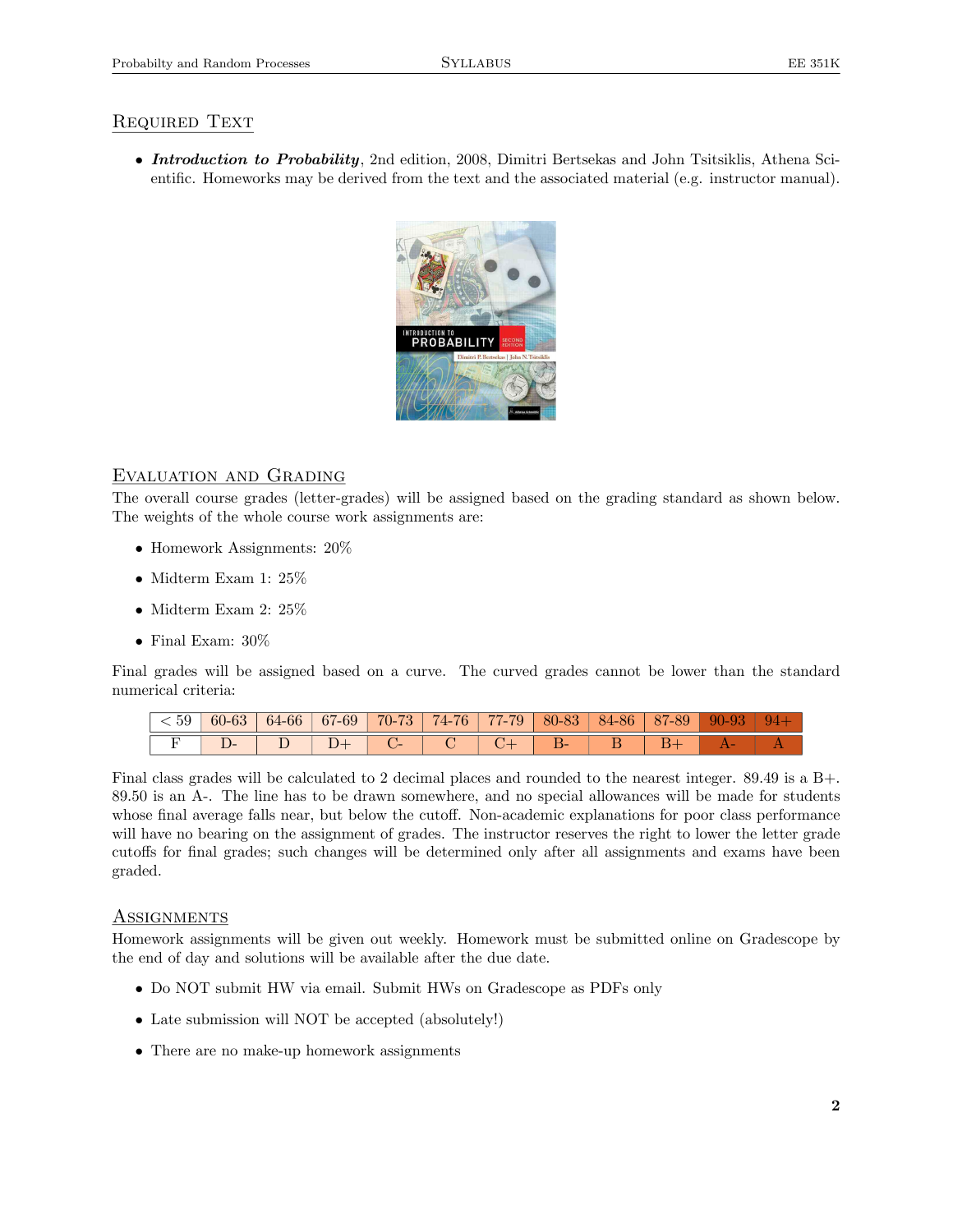# REQUIRED TEXT

*• Introduction to Probability*, 2nd edition, 2008, Dimitri Bertsekas and John Tsitsiklis, Athena Scientific. Homeworks may be derived from the text and the associated material (e.g. instructor manual).



# Evaluation and Grading

The overall course grades (letter-grades) will be assigned based on the grading standard as shown below. The weights of the whole course work assignments are:

- *•* Homework Assignments: 20%
- *•* Midterm Exam 1: 25%
- *•* Midterm Exam 2: 25%
- *•* Final Exam: 30%

Final grades will be assigned based on a curve. The curved grades cannot be lower than the standard numerical criteria:

| < 59 | 60-63 | $64-66$ | $67-69$ | 70-73       | 74-76 | $\parallel$ 77-79 $\parallel$ | $80-83$   84-86   87-89 |  | $90-93$ |  |
|------|-------|---------|---------|-------------|-------|-------------------------------|-------------------------|--|---------|--|
|      |       |         |         | <b>1000</b> |       |                               |                         |  |         |  |

Final class grades will be calculated to 2 decimal places and rounded to the nearest integer. 89.49 is a B+. 89.50 is an A-. The line has to be drawn somewhere, and no special allowances will be made for students whose final average falls near, but below the cutoff. Non-academic explanations for poor class performance will have no bearing on the assignment of grades. The instructor reserves the right to lower the letter grade cutoffs for final grades; such changes will be determined only after all assignments and exams have been graded.

# **ASSIGNMENTS**

Homework assignments will be given out weekly. Homework must be submitted online on Gradescope by the end of day and solutions will be available after the due date.

- Do NOT submit HW via email. Submit HWs on Gradescope as PDFs only
- *•* Late submission will NOT be accepted (absolutely!)
- There are no make-up homework assignments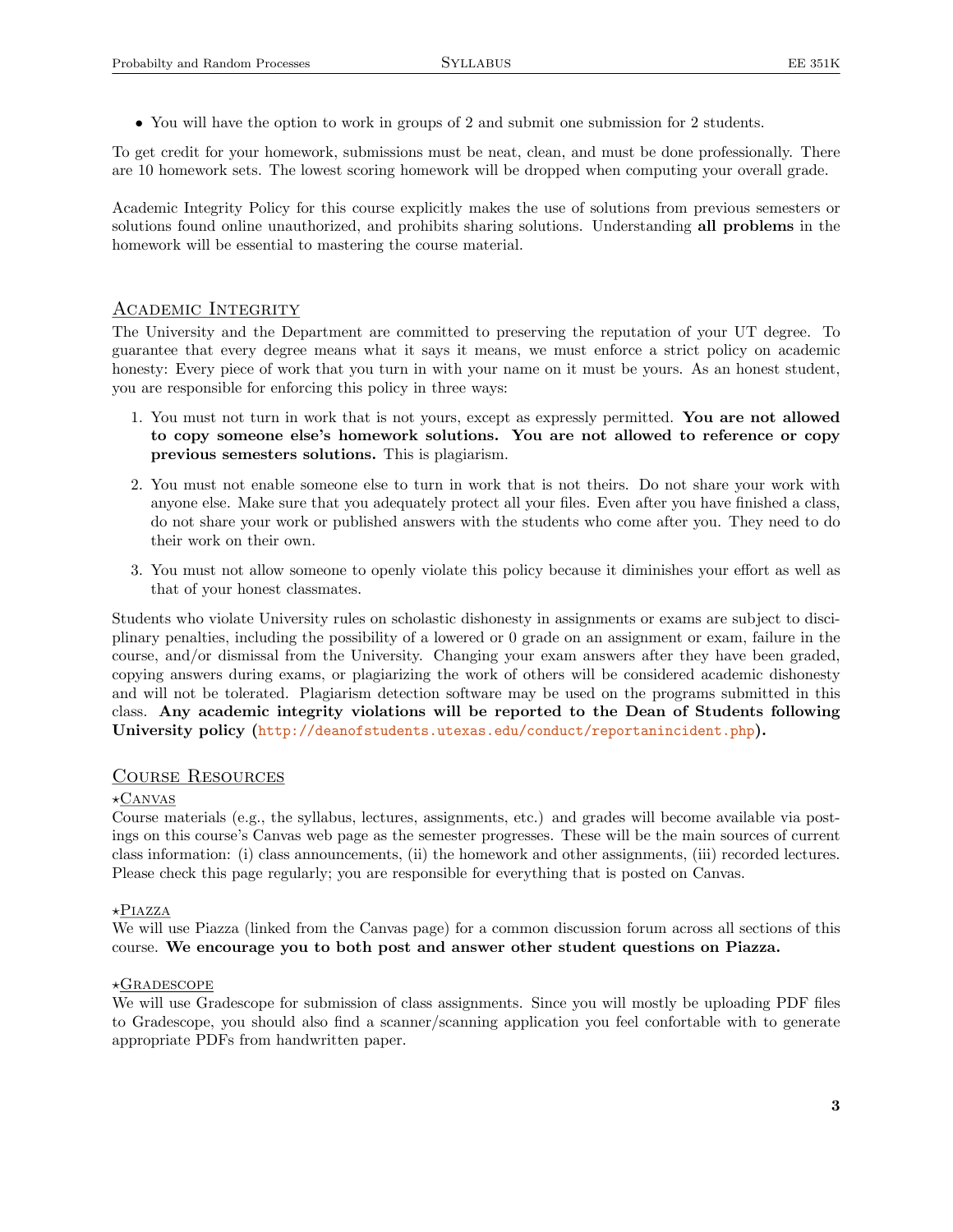• You will have the option to work in groups of 2 and submit one submission for 2 students.

To get credit for your homework, submissions must be neat, clean, and must be done professionally. There are 10 homework sets. The lowest scoring homework will be dropped when computing your overall grade.

Academic Integrity Policy for this course explicitly makes the use of solutions from previous semesters or solutions found online unauthorized, and prohibits sharing solutions. Understanding all problems in the homework will be essential to mastering the course material.

### Academic Integrity

The University and the Department are committed to preserving the reputation of your UT degree. To guarantee that every degree means what it says it means, we must enforce a strict policy on academic honesty: Every piece of work that you turn in with your name on it must be yours. As an honest student, you are responsible for enforcing this policy in three ways:

- 1. You must not turn in work that is not yours, except as expressly permitted. You are not allowed to copy someone else's homework solutions. You are not allowed to reference or copy previous semesters solutions. This is plagiarism.
- 2. You must not enable someone else to turn in work that is not theirs. Do not share your work with anyone else. Make sure that you adequately protect all your files. Even after you have finished a class, do not share your work or published answers with the students who come after you. They need to do their work on their own.
- 3. You must not allow someone to openly violate this policy because it diminishes your effort as well as that of your honest classmates.

Students who violate University rules on scholastic dishonesty in assignments or exams are subject to disciplinary penalties, including the possibility of a lowered or 0 grade on an assignment or exam, failure in the course, and/or dismissal from the University. Changing your exam answers after they have been graded, copying answers during exams, or plagiarizing the work of others will be considered academic dishonesty and will not be tolerated. Plagiarism detection software may be used on the programs submitted in this class. Any academic integrity violations will be reported to the Dean of Students following University policy (<http://deanofstudents.utexas.edu/conduct/reportanincident.php>).

#### Course Resources

#### $\star$ CANVAS

Course materials (e.g., the syllabus, lectures, assignments, etc.) and grades will become available via postings on this course's Canvas web page as the semester progresses. These will be the main sources of current class information: (i) class announcements, (ii) the homework and other assignments, (iii) recorded lectures. Please check this page regularly; you are responsible for everything that is posted on Canvas.

#### $\star$ Piazza

We will use Piazza (linked from the Canvas page) for a common discussion forum across all sections of this course. We encourage you to both post and answer other student questions on Piazza.

#### $\star$ Gradescope

We will use Gradescope for submission of class assignments. Since you will mostly be uploading PDF files to Gradescope, you should also find a scanner/scanning application you feel confortable with to generate appropriate PDFs from handwritten paper.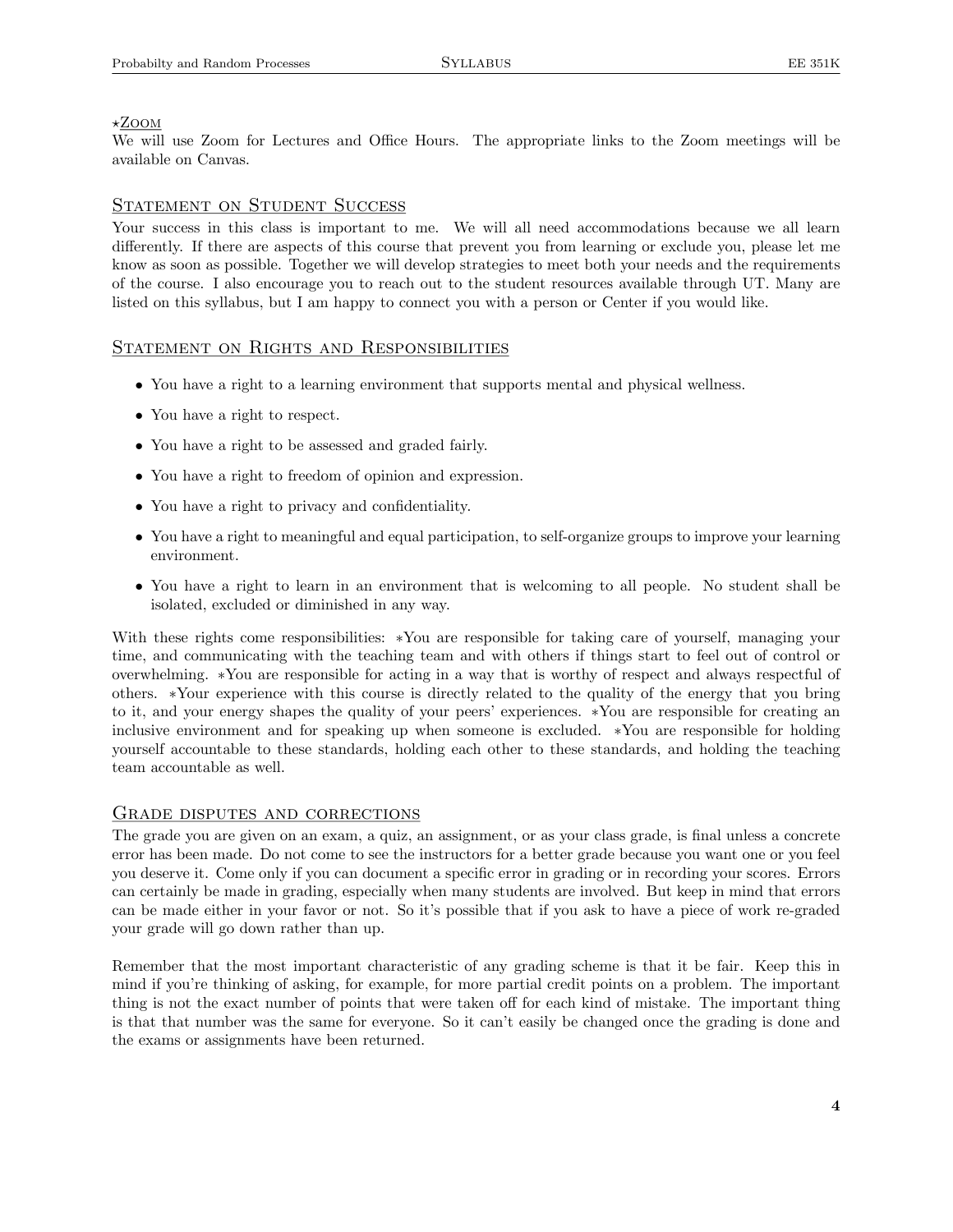#### $\star$ Zoom

We will use Zoom for Lectures and Office Hours. The appropriate links to the Zoom meetings will be available on Canvas.

### STATEMENT ON STUDENT SUCCESS

Your success in this class is important to me. We will all need accommodations because we all learn differently. If there are aspects of this course that prevent you from learning or exclude you, please let me know as soon as possible. Together we will develop strategies to meet both your needs and the requirements of the course. I also encourage you to reach out to the student resources available through UT. Many are listed on this syllabus, but I am happy to connect you with a person or Center if you would like.

### STATEMENT ON RIGHTS AND RESPONSIBILITIES

- You have a right to a learning environment that supports mental and physical wellness.
- You have a right to respect.
- *•* You have a right to be assessed and graded fairly.
- *•* You have a right to freedom of opinion and expression.
- You have a right to privacy and confidentiality.
- You have a right to meaningful and equal participation, to self-organize groups to improve your learning environment.
- You have a right to learn in an environment that is welcoming to all people. No student shall be isolated, excluded or diminished in any way.

With these rights come responsibilities: ∗You are responsible for taking care of yourself, managing your time, and communicating with the teaching team and with others if things start to feel out of control or overwhelming. ∗You are responsible for acting in a way that is worthy of respect and always respectful of others. ∗Your experience with this course is directly related to the quality of the energy that you bring to it, and your energy shapes the quality of your peers' experiences. ∗You are responsible for creating an inclusive environment and for speaking up when someone is excluded. ∗You are responsible for holding yourself accountable to these standards, holding each other to these standards, and holding the teaching team accountable as well.

#### GRADE DISPUTES AND CORRECTIONS

The grade you are given on an exam, a quiz, an assignment, or as your class grade, is final unless a concrete error has been made. Do not come to see the instructors for a better grade because you want one or you feel you deserve it. Come only if you can document a specific error in grading or in recording your scores. Errors can certainly be made in grading, especially when many students are involved. But keep in mind that errors can be made either in your favor or not. So it's possible that if you ask to have a piece of work re-graded your grade will go down rather than up.

Remember that the most important characteristic of any grading scheme is that it be fair. Keep this in mind if you're thinking of asking, for example, for more partial credit points on a problem. The important thing is not the exact number of points that were taken off for each kind of mistake. The important thing is that that number was the same for everyone. So it can't easily be changed once the grading is done and the exams or assignments have been returned.